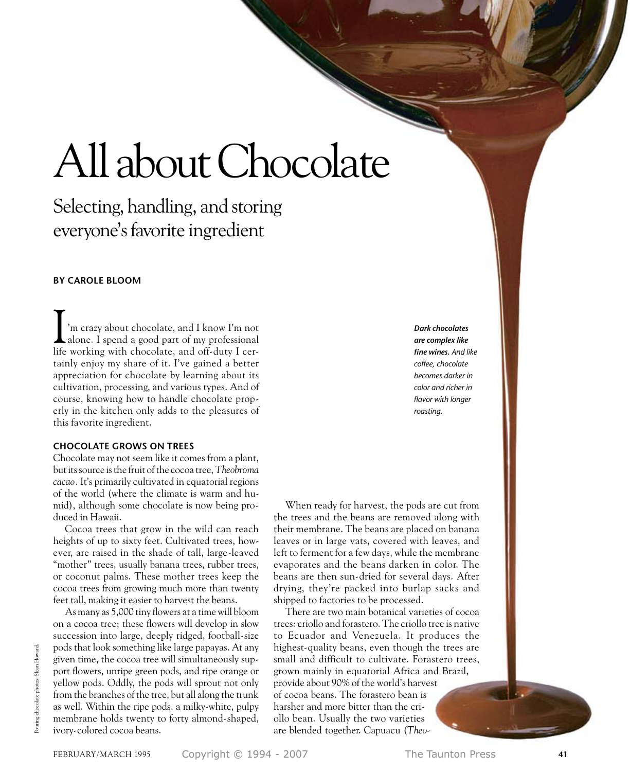# All about Chocolate

Selecting, handling, and storing everyone's favorite ingredient

## **by Carole Bloom**

'm crazy about chocolate, and I know I'm not alone. I spend a good part of my professional I'm crazy about chocolate, and I know I'm not<br>alone. I spend a good part of my professional<br>life working with chocolate, and off-duty I certainly enjoy my share of it. I've gained a better appreciation for chocolate by learning about its cultivation, processing, and various types. And of course, knowing how to handle chocolate properly in the kitchen only adds to the pleasures of this favorite ingredient.

## **Chocolate grows on trees**

Chocolate may not seem like it comes from a plant, but its source is the fruit of the cocoa tree,*Theobroma cacao.* It's primarily cultivated in equatorial regions of the world (where the climate is warm and humid), although some chocolate is now being produced in Hawaii.

Cocoa trees that grow in the wild can reach heights of up to sixty feet. Cultivated trees, however, are raised in the shade of tall, large-leaved "mother" trees, usually banana trees, rubber trees, or coconut palms. These mother trees keep the cocoa trees from growing much more than twenty feet tall, making it easier to harvest the beans.

As many as 5,000 tiny flowers at a time will bloom on a cocoa tree; these flowers will develop in slow succession into large, deeply ridged, football-size pods that look something like large papayas. At any given time, the cocoa tree will simultaneously support flowers, unripe green pods, and ripe orange or yellow pods. Oddly, the pods will sprout not only from the branches of the tree, but all along the trunk as well. Within the ripe pods, a milky-white, pulpy membrane holds twenty to forty almond-shaped, ivory-colored cocoa beans.

*Dark chocolates are complex like fine wines. And like coffee, chocolate becomes darker in color and richer in flavor with longer roasting.* 

When ready for harvest, the pods are cut from the trees and the beans are removed along with their membrane. The beans are placed on banana leaves or in large vats, covered with leaves, and left to ferment for a few days, while the membrane evaporates and the beans darken in color. The beans are then sun-dried for several days. After drying, they're packed into burlap sacks and shipped to factories to be processed.

There are two main botanical varieties of cocoa trees: criollo and forastero. The criollo tree is native to Ecuador and Venezuela. It produces the highest-quality beans, even though the trees are small and difficult to cultivate. Forastero trees, grown mainly in equatorial Africa and Brazil, provide about 90% of the world's harvest of cocoa beans. The forastero bean is harsher and more bitter than the criollo bean. Usually the two varieties are blended together. Capuacu (*Theo-*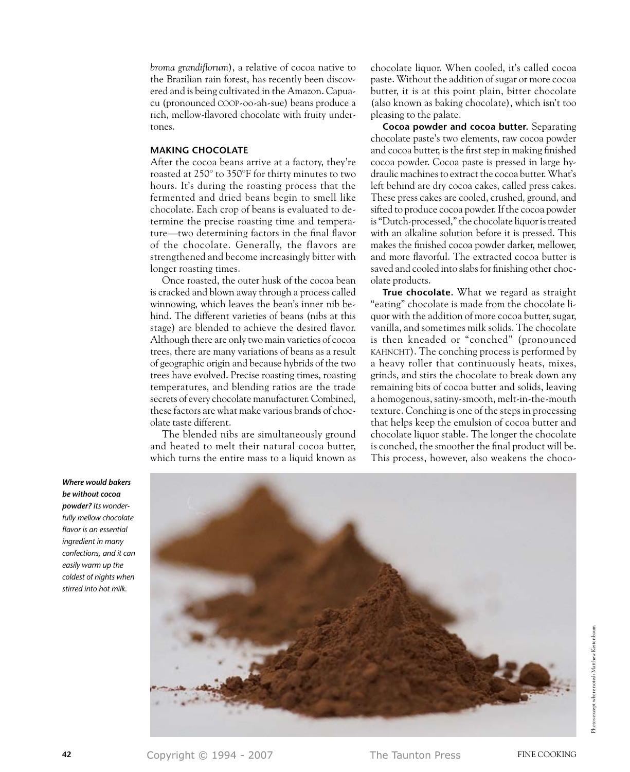*broma grandiflorum*), a relative of cocoa native to the Brazilian rain forest, has recently been discovered and is being cultivated in the Amazon. Capuacu (pronounced coop-oo-ah-sue) beans produce a rich, mellow-flavored chocolate with fruity undertones.

# **Making chocolate**

After the cocoa beans arrive at a factory, they're roasted at 250° to 350°F for thirty minutes to two hours. It's during the roasting process that the fermented and dried beans begin to smell like chocolate. Each crop of beans is evaluated to determine the precise roasting time and temperature—two determining factors in the final flavor of the chocolate. Generally, the flavors are strengthened and become increasingly bitter with longer roasting times.

Once roasted, the outer husk of the cocoa bean is cracked and blown away through a process called winnowing, which leaves the bean's inner nib behind. The different varieties of beans (nibs at this stage) are blended to achieve the desired flavor. Although there are only two main varieties of cocoa trees, there are many variations of beans as a result of geographic origin and because hybrids of the two trees have evolved. Precise roasting times, roasting temperatures, and blending ratios are the trade secrets of every chocolate manufacturer. Combined, these factors are what make various brands of chocolate taste different.

The blended nibs are simultaneously ground and heated to melt their natural cocoa butter, which turns the entire mass to a liquid known as chocolate liquor. When cooled, it's called cocoa paste. Without the addition of sugar or more cocoa butter, it is at this point plain, bitter chocolate (also known as baking chocolate), which isn't too pleasing to the palate.

**Cocoa powder and cocoa butter.** Separating chocolate paste's two elements, raw cocoa powder and cocoa butter, is the first step in making finished cocoa powder. Cocoa paste is pressed in large hydraulic machines to extract the cocoa butter. What's left behind are dry cocoa cakes, called press cakes. These press cakes are cooled, crushed, ground, and sifted to produce cocoa powder. If the cocoa powder is "Dutch-processed," the chocolate liquor is treated with an alkaline solution before it is pressed. This makes the finished cocoa powder darker, mellower, and more flavorful. The extracted cocoa butter is saved and cooled into slabs for finishing other chocolate products.

**True chocolate.** What we regard as straight "eating" chocolate is made from the chocolate liquor with the addition of more cocoa butter, sugar, vanilla, and sometimes milk solids. The chocolate is then kneaded or "conched" (pronounced KAHNCHT). The conching process is performed by a heavy roller that continuously heats, mixes, grinds, and stirs the chocolate to break down any remaining bits of cocoa butter and solids, leaving a homogenous, satiny-smooth, melt-in-the-mouth texture. Conching is one of the steps in processing that helps keep the emulsion of cocoa butter and chocolate liquor stable. The longer the chocolate is conched, the smoother the final product will be. This process, however, also weakens the choco-



*Where would bakers be without cocoa powder? Its wonderfully mellow chocolate flavor is an essential ingredient in many confections, and it can easily warm up the coldest of nights when stirred into hot milk.*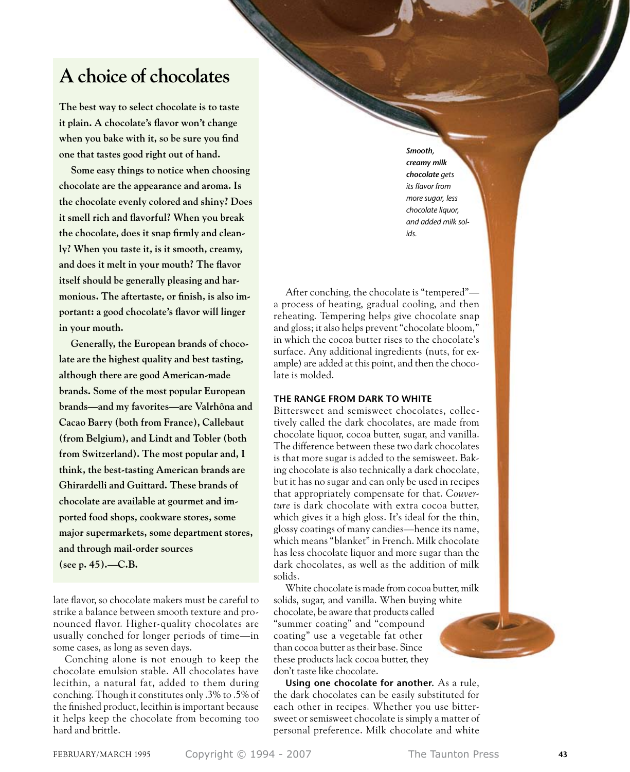# **A choice of chocolates**

**The best way to select chocolate is to taste it plain. A chocolate's flavor won't change when you bake with it, so be sure you find one that tastes good right out of hand.**

**Some easy things to notice when choosing chocolate are the appearance and aroma. Is the chocolate evenly colored and shiny? Does it smell rich and flavorful? When you break the chocolate, does it snap firmly and cleanly? When you taste it, is it smooth, creamy, and does it melt in your mouth? The flavor itself should be generally pleasing and harmonious. The aftertaste, or finish, is also important: a good chocolate's flavor will linger in your mouth.**

**Generally, the European brands of chocolate are the highest quality and best tasting, although there are good American-made brands. Some of the most popular European brands—and my favorites—are Valrhôna and Cacao Barry (both from France), Callebaut (from Belgium), and Lindt and Tobler (both from Switzerland). The most popular and, I think, the best-tasting American brands are Ghirardelli and Guittard. These brands of chocolate are available at gourmet and imported food shops, cookware stores, some major supermarkets, some department stores, and through mail-order sources (see p. 45).—C.B.**

late flavor, so chocolate makers must be careful to strike a balance between smooth texture and pronounced flavor. Higher-quality chocolates are usually conched for longer periods of time—in some cases, as long as seven days.

Conching alone is not enough to keep the chocolate emulsion stable. All chocolates have lecithin, a natural fat, added to them during conching. Though it constitutes only .3% to .5% of the finished product, lecithin is important because it helps keep the chocolate from becoming too hard and brittle.

*Smooth, creamy milk chocolate gets its flavor from more sugar, less chocolate liquor, and added milk solids.*

After conching, the chocolate is "tempered" a process of heating, gradual cooling, and then reheating. Tempering helps give chocolate snap and gloss; it also helps prevent "chocolate bloom," in which the cocoa butter rises to the chocolate's surface. Any additional ingredients (nuts, for example) are added at this point, and then the chocolate is molded.

#### **The Range FROM DARK TO WHITE**

Bittersweet and semisweet chocolates, collectively called the dark chocolates, are made from chocolate liquor, cocoa butter, sugar, and vanilla. The difference between these two dark chocolates is that more sugar is added to the semisweet. Baking chocolate is also technically a dark chocolate, but it has no sugar and can only be used in recipes that appropriately compensate for that. *Couverture* is dark chocolate with extra cocoa butter, which gives it a high gloss. It's ideal for the thin, glossy coatings of many candies—hence its name, which means "blanket" in French. Milk chocolate has less chocolate liquor and more sugar than the dark chocolates, as well as the addition of milk solids.

White chocolate is made from cocoa butter, milk solids, sugar, and vanilla. When buying white chocolate, be aware that products called "summer coating" and "compound coating" use a vegetable fat other than cocoa butter as their base. Since these products lack cocoa butter, they don't taste like chocolate.

**Using one chocolate for another.** As a rule, the dark chocolates can be easily substituted for each other in recipes. Whether you use bittersweet or semisweet chocolate is simply a matter of personal preference. Milk chocolate and white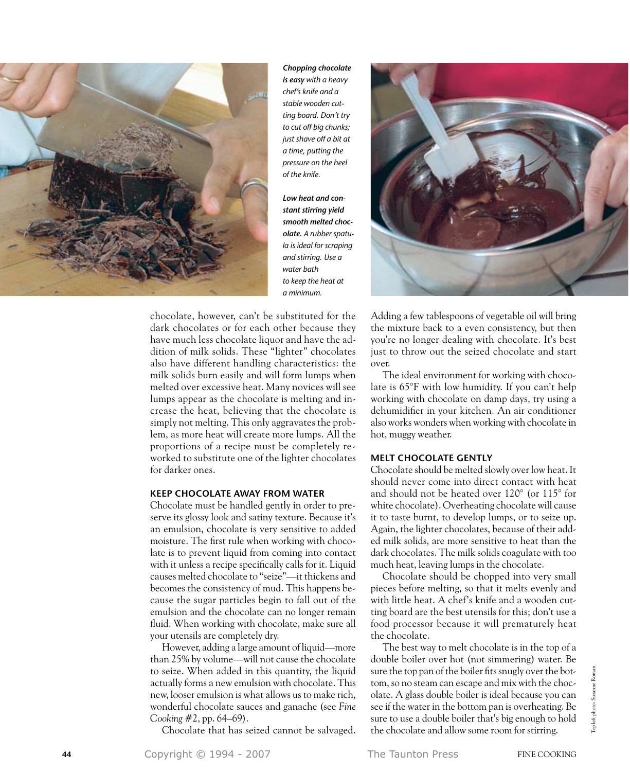

*Chopping chocolate is easy with a heavy chef's knife and a stable wooden cutting board. Don't try to cut off big chunks; just shave off a bit at a time, putting the pressure on the heel of the knife.*

*Low heat and constant stirring yield smooth melted chocolate. A rubber spatula is ideal for scraping and stirring. Use a water bath to keep the heat at a minimum.* 



chocolate, however, can't be substituted for the dark chocolates or for each other because they have much less chocolate liquor and have the addition of milk solids. These "lighter" chocolates also have different handling characteristics: the milk solids burn easily and will form lumps when melted over excessive heat. Many novices will see lumps appear as the chocolate is melting and increase the heat, believing that the chocolate is simply not melting. This only aggravates the problem, as more heat will create more lumps. All the proportions of a recipe must be completely reworked to substitute one of the lighter chocolates for darker ones.

#### **keep chocolate Away from Water**

Chocolate must be handled gently in order to preserve its glossy look and satiny texture. Because it's an emulsion, chocolate is very sensitive to added moisture. The first rule when working with chocolate is to prevent liquid from coming into contact with it unless a recipe specifically calls for it. Liquid causes melted chocolate to "seize"—it thickens and becomes the consistency of mud. This happens because the sugar particles begin to fall out of the emulsion and the chocolate can no longer remain fluid. When working with chocolate, make sure all your utensils are completely dry.

However, adding a large amount of liquid—more than 25% by volume—will not cause the chocolate to seize. When added in this quantity, the liquid actually forms a new emulsion with chocolate. This new, looser emulsion is what allows us to make rich, wonderful chocolate sauces and ganache (see *Fine Cooking* #2, pp. 64–69).

Chocolate that has seized cannot be salvaged.

Adding a few tablespoons of vegetable oil will bring the mixture back to a even consistency, but then you're no longer dealing with chocolate. It's best just to throw out the seized chocolate and start over.

The ideal environment for working with chocolate is 65°F with low humidity. If you can't help working with chocolate on damp days, try using a dehumidifier in your kitchen. An air conditioner also works wonders when working with chocolate in hot, muggy weather.

#### **Melt Chocolate gently**

Chocolate should be melted slowly over low heat. It should never come into direct contact with heat and should not be heated over 120° (or 115° for white chocolate). Overheating chocolate will cause it to taste burnt, to develop lumps, or to seize up. Again, the lighter chocolates, because of their added milk solids, are more sensitive to heat than the dark chocolates. The milk solids coagulate with too much heat, leaving lumps in the chocolate.

Chocolate should be chopped into very small pieces before melting, so that it melts evenly and with little heat. A chef's knife and a wooden cutting board are the best utensils for this; don't use a food processor because it will prematurely heat the chocolate.

The best way to melt chocolate is in the top of a double boiler over hot (not simmering) water. Be sure the top pan of the boiler fits snugly over the bottom, so no steam can escape and mix with the chocolate. A glass double boiler is ideal because you can see if the water in the bottom pan is overheating. Be sure to use a double boiler that's big enough to hold the chocolate and allow some room for stirring.